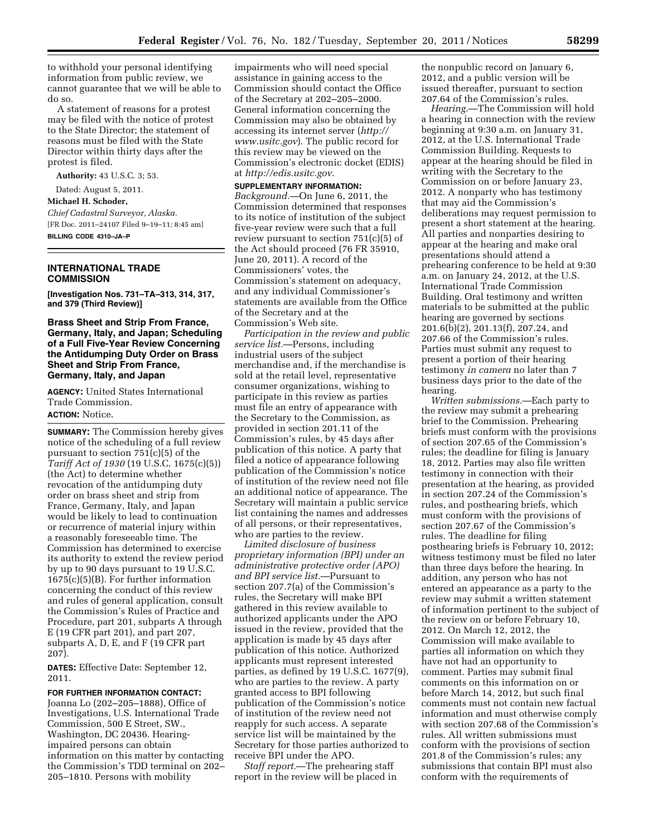to withhold your personal identifying information from public review, we cannot guarantee that we will be able to do so.

A statement of reasons for a protest may be filed with the notice of protest to the State Director; the statement of reasons must be filed with the State Director within thirty days after the protest is filed.

**Authority:** 43 U.S.C. 3; 53.

# Dated: August 5, 2011.

**Michael H. Schoder,** 

*Chief Cadastral Surveyor, Alaska.*  [FR Doc. 2011–24107 Filed 9–19–11; 8:45 am]

# **BILLING CODE 4310–JA–P**

### **INTERNATIONAL TRADE COMMISSION**

**[Investigation Nos. 731–TA–313, 314, 317, and 379 (Third Review)]** 

**Brass Sheet and Strip From France, Germany, Italy, and Japan; Scheduling of a Full Five-Year Review Concerning the Antidumping Duty Order on Brass Sheet and Strip From France, Germany, Italy, and Japan** 

**AGENCY:** United States International Trade Commission. **ACTION:** Notice.

**SUMMARY:** The Commission hereby gives notice of the scheduling of a full review pursuant to section 751(c)(5) of the *Tariff Act of 1930* (19 U.S.C. 1675(c)(5)) (the Act) to determine whether revocation of the antidumping duty order on brass sheet and strip from France, Germany, Italy, and Japan would be likely to lead to continuation or recurrence of material injury within a reasonably foreseeable time. The Commission has determined to exercise its authority to extend the review period by up to 90 days pursuant to 19 U.S.C. 1675(c)(5)(B). For further information concerning the conduct of this review and rules of general application, consult the Commission's Rules of Practice and Procedure, part 201, subparts A through E (19 CFR part 201), and part 207, subparts A, D, E, and F (19 CFR part 207).

**DATES:** Effective Date: September 12, 2011.

### **FOR FURTHER INFORMATION CONTACT:**

Joanna Lo (202–205–1888), Office of Investigations, U.S. International Trade Commission, 500 E Street, SW., Washington, DC 20436. Hearingimpaired persons can obtain information on this matter by contacting the Commission's TDD terminal on 202– 205–1810. Persons with mobility

impairments who will need special assistance in gaining access to the Commission should contact the Office of the Secretary at 202–205–2000. General information concerning the Commission may also be obtained by accessing its internet server (*http:// www.usitc.gov*). The public record for this review may be viewed on the Commission's electronic docket (EDIS) at *http://edis.usitc.gov*.

#### **SUPPLEMENTARY INFORMATION:**

*Background.*—On June 6, 2011, the Commission determined that responses to its notice of institution of the subject five-year review were such that a full review pursuant to section 751(c)(5) of the Act should proceed (76 FR 35910, June 20, 2011). A record of the Commissioners' votes, the Commission's statement on adequacy, and any individual Commissioner's statements are available from the Office of the Secretary and at the Commission's Web site.

*Participation in the review and public service list.*—Persons, including industrial users of the subject merchandise and, if the merchandise is sold at the retail level, representative consumer organizations, wishing to participate in this review as parties must file an entry of appearance with the Secretary to the Commission, as provided in section 201.11 of the Commission's rules, by 45 days after publication of this notice. A party that filed a notice of appearance following publication of the Commission's notice of institution of the review need not file an additional notice of appearance. The Secretary will maintain a public service list containing the names and addresses of all persons, or their representatives, who are parties to the review.

*Limited disclosure of business proprietary information (BPI) under an administrative protective order (APO) and BPI service list.*—Pursuant to section 207.7(a) of the Commission's rules, the Secretary will make BPI gathered in this review available to authorized applicants under the APO issued in the review, provided that the application is made by 45 days after publication of this notice. Authorized applicants must represent interested parties, as defined by 19 U.S.C. 1677(9), who are parties to the review. A party granted access to BPI following publication of the Commission's notice of institution of the review need not reapply for such access. A separate service list will be maintained by the Secretary for those parties authorized to receive BPI under the APO.

*Staff report.*—The prehearing staff report in the review will be placed in the nonpublic record on January 6, 2012, and a public version will be issued thereafter, pursuant to section 207.64 of the Commission's rules.

*Hearing.*—The Commission will hold a hearing in connection with the review beginning at 9:30 a.m. on January 31, 2012, at the U.S. International Trade Commission Building. Requests to appear at the hearing should be filed in writing with the Secretary to the Commission on or before January 23, 2012. A nonparty who has testimony that may aid the Commission's deliberations may request permission to present a short statement at the hearing. All parties and nonparties desiring to appear at the hearing and make oral presentations should attend a prehearing conference to be held at 9:30 a.m. on January 24, 2012, at the U.S. International Trade Commission Building. Oral testimony and written materials to be submitted at the public hearing are governed by sections 201.6(b)(2), 201.13(f), 207.24, and 207.66 of the Commission's rules. Parties must submit any request to present a portion of their hearing testimony *in camera* no later than 7 business days prior to the date of the hearing.

*Written submissions.*—Each party to the review may submit a prehearing brief to the Commission. Prehearing briefs must conform with the provisions of section 207.65 of the Commission's rules; the deadline for filing is January 18, 2012. Parties may also file written testimony in connection with their presentation at the hearing, as provided in section 207.24 of the Commission's rules, and posthearing briefs, which must conform with the provisions of section 207.67 of the Commission's rules. The deadline for filing posthearing briefs is February 10, 2012; witness testimony must be filed no later than three days before the hearing. In addition, any person who has not entered an appearance as a party to the review may submit a written statement of information pertinent to the subject of the review on or before February 10, 2012. On March 12, 2012, the Commission will make available to parties all information on which they have not had an opportunity to comment. Parties may submit final comments on this information on or before March 14, 2012, but such final comments must not contain new factual information and must otherwise comply with section 207.68 of the Commission's rules. All written submissions must conform with the provisions of section 201.8 of the Commission's rules; any submissions that contain BPI must also conform with the requirements of